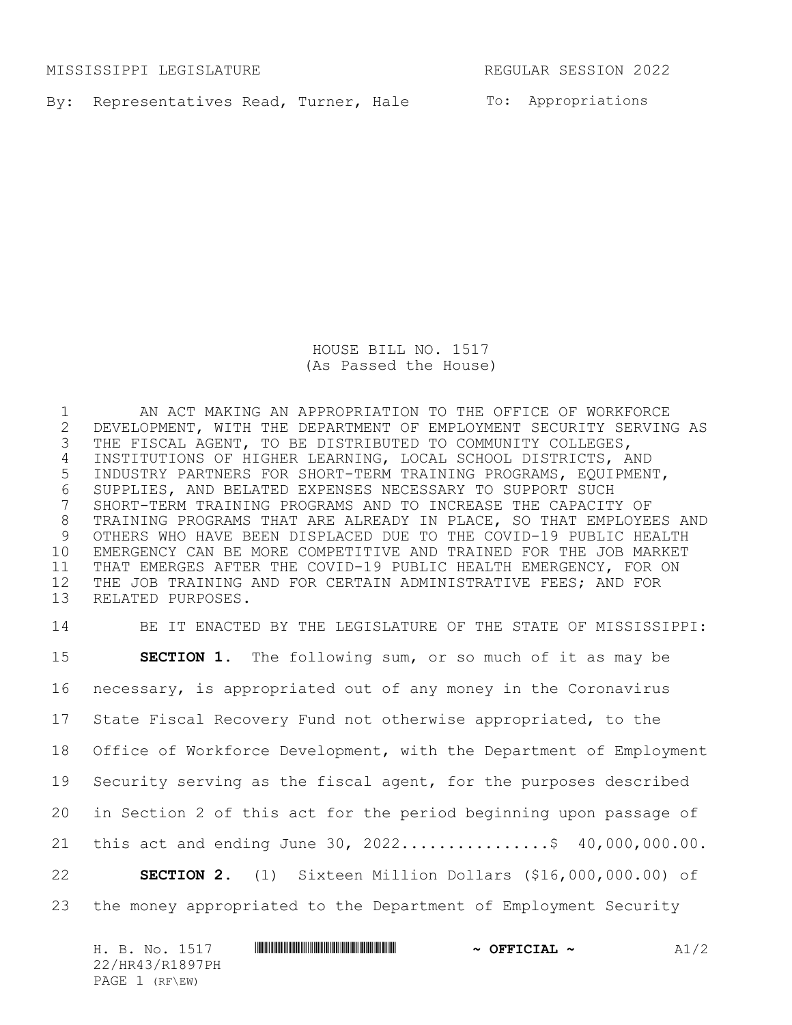MISSISSIPPI LEGISLATURE REGULAR SESSION 2022

By: Representatives Read, Turner, Hale To: Appropriations

HOUSE BILL NO. 1517 (As Passed the House)

 AN ACT MAKING AN APPROPRIATION TO THE OFFICE OF WORKFORCE 2 DEVELOPMENT, WITH THE DEPARTMENT OF EMPLOYMENT SECURITY SERVING AS<br>3 THE FISCAL AGENT, TO BE DISTRIBUTED TO COMMUNITY COLLEGES, THE FISCAL AGENT, TO BE DISTRIBUTED TO COMMUNITY COLLEGES, INSTITUTIONS OF HIGHER LEARNING, LOCAL SCHOOL DISTRICTS, AND INDUSTRY PARTNERS FOR SHORT-TERM TRAINING PROGRAMS, EQUIPMENT, SUPPLIES, AND BELATED EXPENSES NECESSARY TO SUPPORT SUCH SHORT-TERM TRAINING PROGRAMS AND TO INCREASE THE CAPACITY OF TRAINING PROGRAMS THAT ARE ALREADY IN PLACE, SO THAT EMPLOYEES AND OTHERS WHO HAVE BEEN DISPLACED DUE TO THE COVID-19 PUBLIC HEALTH EMERGENCY CAN BE MORE COMPETITIVE AND TRAINED FOR THE JOB MARKET THAT EMERGES AFTER THE COVID-19 PUBLIC HEALTH EMERGENCY, FOR ON THE JOB TRAINING AND FOR CERTAIN ADMINISTRATIVE FEES; AND FOR RELATED PURPOSES.

 BE IT ENACTED BY THE LEGISLATURE OF THE STATE OF MISSISSIPPI: **SECTION 1.** The following sum, or so much of it as may be necessary, is appropriated out of any money in the Coronavirus State Fiscal Recovery Fund not otherwise appropriated, to the Office of Workforce Development, with the Department of Employment Security serving as the fiscal agent, for the purposes described in Section 2 of this act for the period beginning upon passage of 21 this act and ending June 30,  $2022............$ ; \$ 40,000,000.00. **SECTION 2.** (1) Sixteen Million Dollars (\$16,000,000.00) of the money appropriated to the Department of Employment Security

| H. B. No. 1517  | $\sim$ OFFICIAL $\sim$ | A1/2 |
|-----------------|------------------------|------|
| 22/HR43/R1897PH |                        |      |
| PAGE 1 (RF\EW)  |                        |      |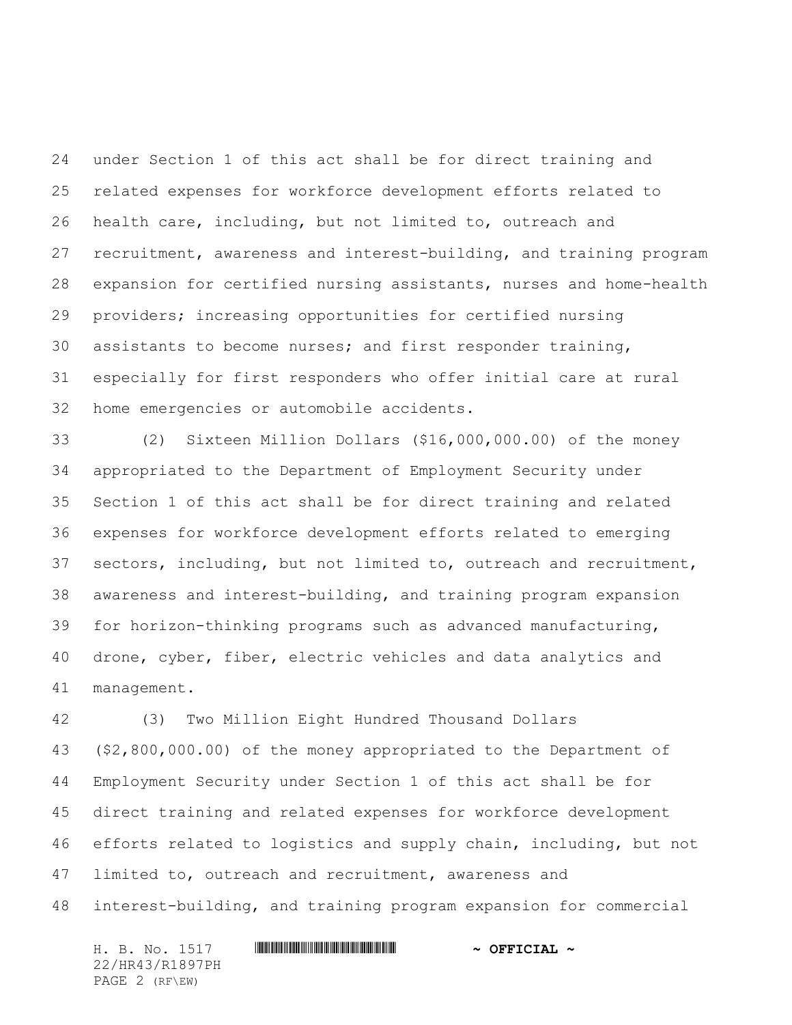under Section 1 of this act shall be for direct training and related expenses for workforce development efforts related to health care, including, but not limited to, outreach and recruitment, awareness and interest-building, and training program expansion for certified nursing assistants, nurses and home-health providers; increasing opportunities for certified nursing assistants to become nurses; and first responder training, especially for first responders who offer initial care at rural home emergencies or automobile accidents.

 (2) Sixteen Million Dollars (\$16,000,000.00) of the money appropriated to the Department of Employment Security under Section 1 of this act shall be for direct training and related expenses for workforce development efforts related to emerging sectors, including, but not limited to, outreach and recruitment, awareness and interest-building, and training program expansion for horizon-thinking programs such as advanced manufacturing, drone, cyber, fiber, electric vehicles and data analytics and management.

 (3) Two Million Eight Hundred Thousand Dollars (\$2,800,000.00) of the money appropriated to the Department of Employment Security under Section 1 of this act shall be for direct training and related expenses for workforce development efforts related to logistics and supply chain, including, but not limited to, outreach and recruitment, awareness and interest-building, and training program expansion for commercial

H. B. No. 1517 \*HR43/R1897PH\* **~ OFFICIAL ~** 22/HR43/R1897PH PAGE 2 (RF\EW)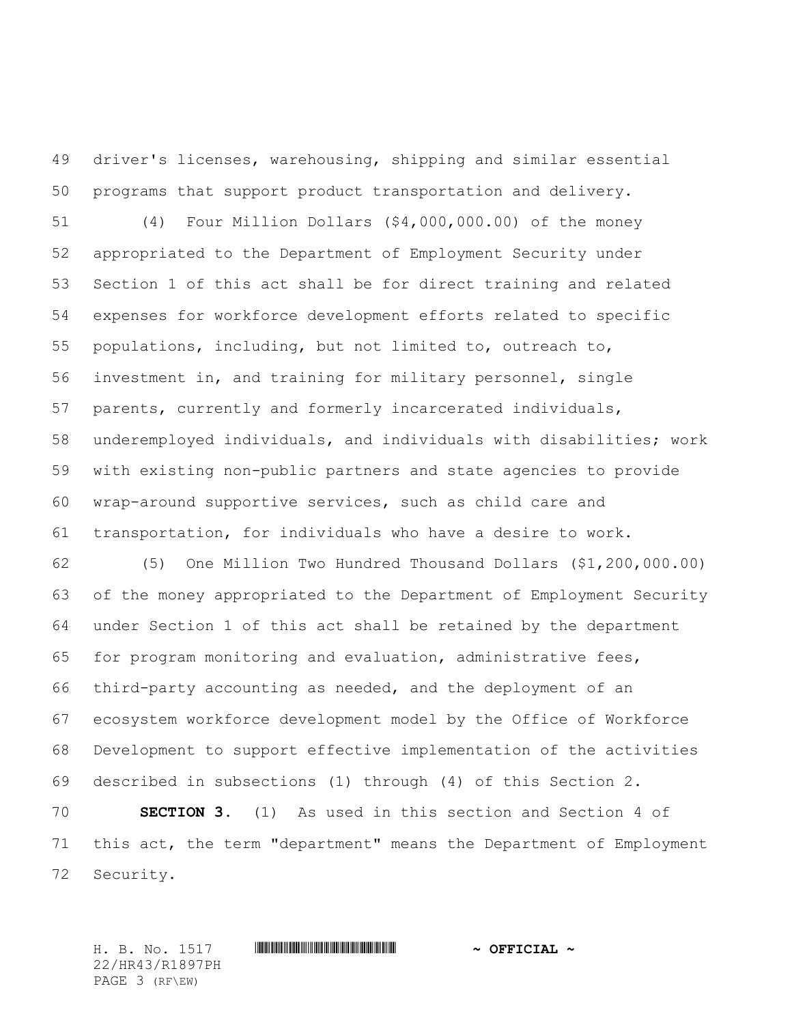driver's licenses, warehousing, shipping and similar essential programs that support product transportation and delivery.

 (4) Four Million Dollars (\$4,000,000.00) of the money appropriated to the Department of Employment Security under Section 1 of this act shall be for direct training and related expenses for workforce development efforts related to specific populations, including, but not limited to, outreach to, investment in, and training for military personnel, single parents, currently and formerly incarcerated individuals, underemployed individuals, and individuals with disabilities; work with existing non-public partners and state agencies to provide wrap-around supportive services, such as child care and transportation, for individuals who have a desire to work.

 (5) One Million Two Hundred Thousand Dollars (\$1,200,000.00) of the money appropriated to the Department of Employment Security under Section 1 of this act shall be retained by the department for program monitoring and evaluation, administrative fees, third-party accounting as needed, and the deployment of an ecosystem workforce development model by the Office of Workforce Development to support effective implementation of the activities described in subsections (1) through (4) of this Section 2.

 **SECTION 3.** (1) As used in this section and Section 4 of this act, the term "department" means the Department of Employment Security.

22/HR43/R1897PH PAGE 3 (RF\EW)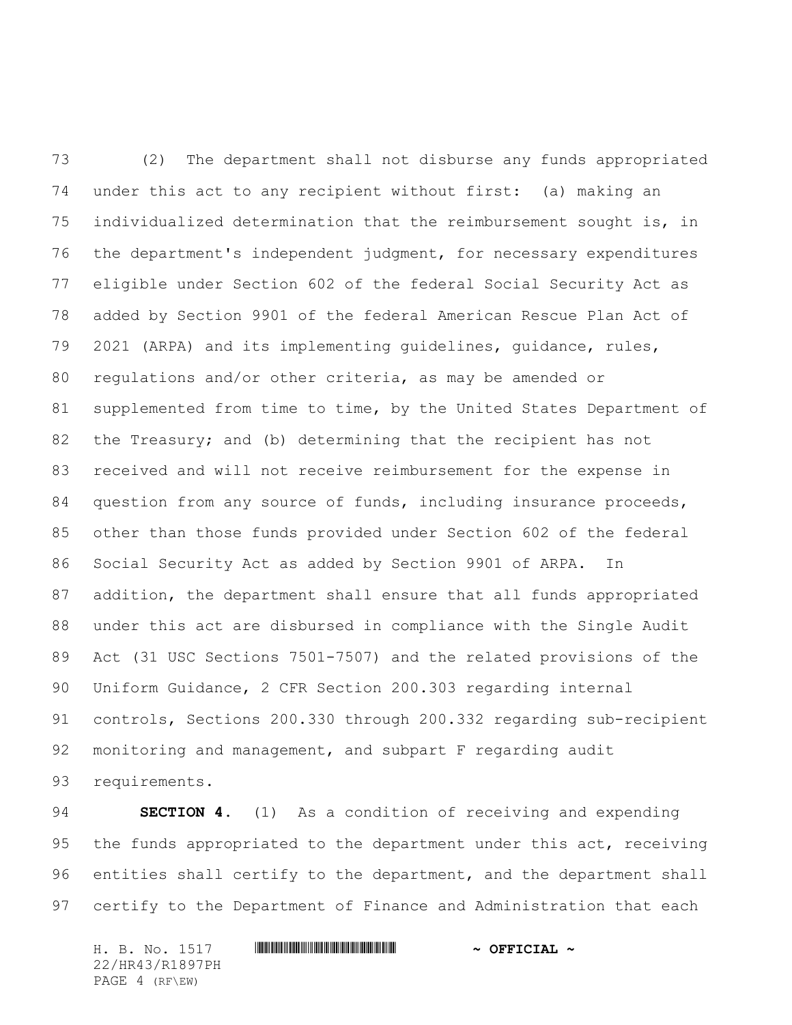(2) The department shall not disburse any funds appropriated under this act to any recipient without first: (a) making an individualized determination that the reimbursement sought is, in the department's independent judgment, for necessary expenditures eligible under Section 602 of the federal Social Security Act as added by Section 9901 of the federal American Rescue Plan Act of 2021 (ARPA) and its implementing guidelines, guidance, rules, regulations and/or other criteria, as may be amended or supplemented from time to time, by the United States Department of the Treasury; and (b) determining that the recipient has not received and will not receive reimbursement for the expense in question from any source of funds, including insurance proceeds, other than those funds provided under Section 602 of the federal Social Security Act as added by Section 9901 of ARPA. In addition, the department shall ensure that all funds appropriated under this act are disbursed in compliance with the Single Audit Act (31 USC Sections 7501-7507) and the related provisions of the Uniform Guidance, 2 CFR Section 200.303 regarding internal controls, Sections 200.330 through 200.332 regarding sub-recipient monitoring and management, and subpart F regarding audit requirements.

 **SECTION 4.** (1) As a condition of receiving and expending 95 the funds appropriated to the department under this act, receiving entities shall certify to the department, and the department shall certify to the Department of Finance and Administration that each

H. B. No. 1517 \*HR43/R1897PH\* **~ OFFICIAL ~** 22/HR43/R1897PH PAGE 4 (RF\EW)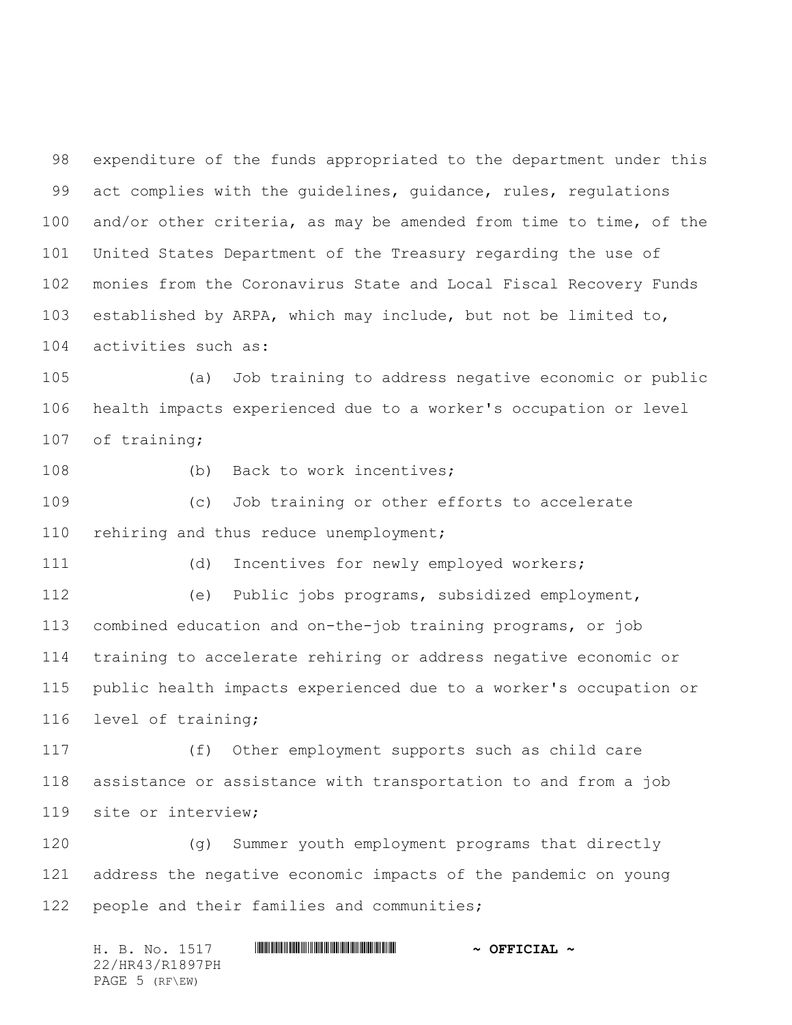expenditure of the funds appropriated to the department under this act complies with the guidelines, guidance, rules, regulations and/or other criteria, as may be amended from time to time, of the United States Department of the Treasury regarding the use of monies from the Coronavirus State and Local Fiscal Recovery Funds established by ARPA, which may include, but not be limited to, activities such as:

 (a) Job training to address negative economic or public health impacts experienced due to a worker's occupation or level of training;

108 (b) Back to work incentives;

 (c) Job training or other efforts to accelerate 110 rehiring and thus reduce unemployment;

(d) Incentives for newly employed workers;

 (e) Public jobs programs, subsidized employment, combined education and on-the-job training programs, or job training to accelerate rehiring or address negative economic or public health impacts experienced due to a worker's occupation or level of training;

 (f) Other employment supports such as child care assistance or assistance with transportation to and from a job site or interview;

 (g) Summer youth employment programs that directly address the negative economic impacts of the pandemic on young people and their families and communities;

H. B. No. 1517 \*HR43/R1897PH\* **~ OFFICIAL ~** 22/HR43/R1897PH PAGE 5 (RF\EW)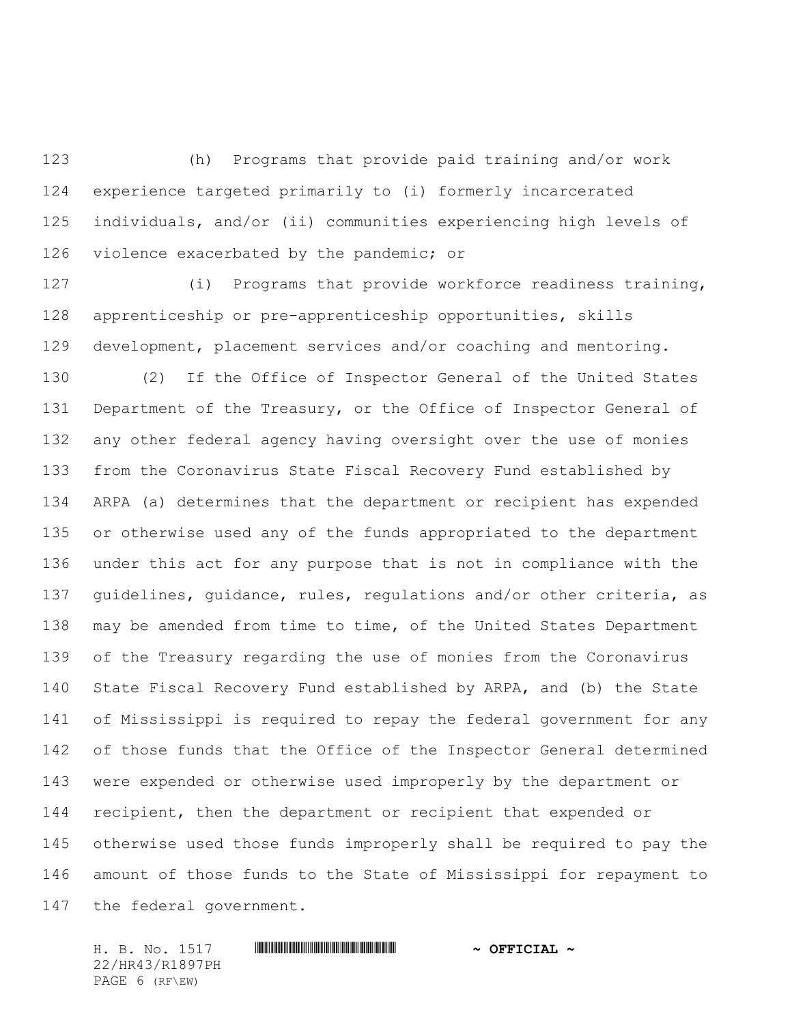(h) Programs that provide paid training and/or work experience targeted primarily to (i) formerly incarcerated individuals, and/or (ii) communities experiencing high levels of 126 violence exacerbated by the pandemic; or

 (i) Programs that provide workforce readiness training, apprenticeship or pre-apprenticeship opportunities, skills development, placement services and/or coaching and mentoring.

 (2) If the Office of Inspector General of the United States 131 Department of the Treasury, or the Office of Inspector General of any other federal agency having oversight over the use of monies from the Coronavirus State Fiscal Recovery Fund established by ARPA (a) determines that the department or recipient has expended or otherwise used any of the funds appropriated to the department under this act for any purpose that is not in compliance with the guidelines, guidance, rules, regulations and/or other criteria, as may be amended from time to time, of the United States Department of the Treasury regarding the use of monies from the Coronavirus State Fiscal Recovery Fund established by ARPA, and (b) the State of Mississippi is required to repay the federal government for any of those funds that the Office of the Inspector General determined were expended or otherwise used improperly by the department or recipient, then the department or recipient that expended or otherwise used those funds improperly shall be required to pay the amount of those funds to the State of Mississippi for repayment to the federal government.

22/HR43/R1897PH PAGE 6 (RF\EW)